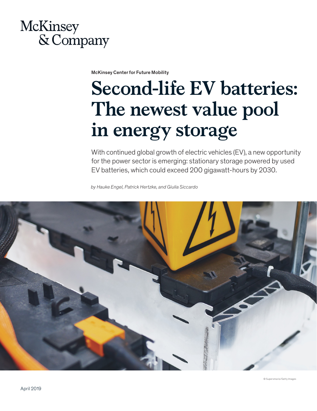# **McKinsey** & Company

McKinsey Center for Future Mobility

# **Second-life EV batteries: The newest value pool in energy storage**

With continued global growth of electric vehicles (EV), a new opportunity for the power sector is emerging: stationary storage powered by used EV batteries, which could exceed 200 gigawatt-hours by 2030.

*by Hauke Engel, Patrick Hertzke, and Giulia Siccardo* 

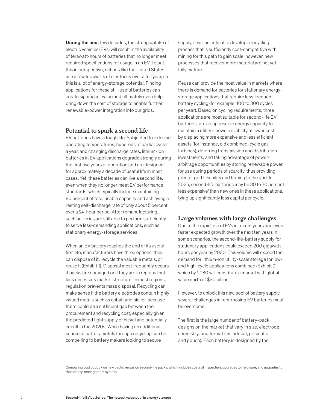During the next few decades, the strong uptake of electric vehicles (EVs) will result in the availability of terawatt-hours of batteries that no longer meet required specifications for usage in an EV. To put this in perspective, nations like the United States use a few terawatts of electricity over a full year, so this is a lot of energy-storage potential. Finding applications for these still-useful batteries can create significant value and ultimately even help bring down the cost of storage to enable further renewable-power integration into our grids.

## **Potential to spark a second life**

EV batteries have a tough life. Subjected to extreme operating temperatures, hundreds of partial cycles a year, and changing discharge rates, lithium-ion batteries in EV applications degrade strongly during the first five years of operation and are designed for approximately a decade of useful life in most cases. Yet, these batteries can live a second life, even when they no longer meet EV performance standards, which typically include maintaining 80 percent of total usable capacity and achieving a resting self-discharge rate of only about 5 percent over a 24-hour period. After remanufacturing, such batteries are still able to perform sufficiently to serve less-demanding applications, such as stationary energy-storage services.

When an EV battery reaches the end of its useful first life, manufacturers have three options: they can dispose of it, recycle the valuable metals, or reuse it (Exhibit 1). Disposal most frequently occurs if packs are damaged or if they are in regions that lack necessary market structure. In most regions, regulation prevents mass disposal. Recycling can make sense if the battery electrodes contain highly valued metals such as cobalt and nickel, because there could be a sufficient gap between the procurement and recycling cost, especially given the predicted tight supply of nickel and potentially cobalt in the 2020s. While having an additional source of battery metals through recycling can be compelling to battery makers looking to secure

supply, it will be critical to develop a recycling process that is sufficiently cost-competitive with mining for this path to gain scale; however, new processes that recover more material are not yet fully mature.

Reuse can provide the most value in markets where there is demand for batteries for stationary energystorage applications that require less-frequent battery cycling (for example, 100 to 300 cycles per year). Based on cycling requirements, three applications are most suitable for second-life EV batteries: providing reserve energy capacity to maintain a utility's power reliability at lower cost by displacing more expensive and less efficient assets (for instance, old combined-cycle gas turbines), deferring transmission and distribution investments, and taking advantage of powerarbitrage opportunities by storing renewable power for use during periods of scarcity, thus providing greater grid flexibility and firming to the grid. In 2025, second-life batteries may be 30 to 70 percent less expensive<sup>1</sup> than new ones in these applications, tying up significantly less capital per cycle.

# **Large volumes with large challenges**

Due to the rapid rise of EVs in recent years and even faster expected growth over the next ten years in some scenarios, the second-life-battery supply for stationary applications could exceed 200 gigawatthours per year by 2030. This volume will exceed the demand for lithium-ion utility-scale storage for lowand high-cycle applications combined (Exhibit 2), which by 2030 will constitute a market with global value north of \$30 billion.

However, to unlock this new pool of battery supply, several challenges in repurposing EV batteries must be overcome.

The first is the large number of battery-pack designs on the market that vary in size, electrode chemistry, and format (cylindrical, prismatic, and pouch). Each battery is designed by the

 $^1$  Comparing cost outlook on new packs versus on second-life packs, which includes costs of inspection, upgrades to hardware, and upgrades to the battery-management system.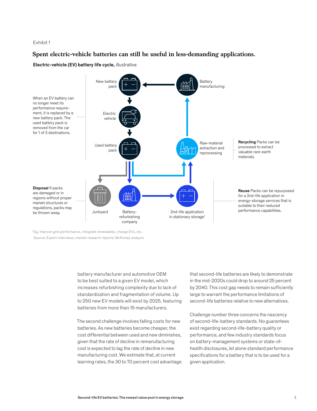#### Exhibit 1

# **Spent electric-vehicle batteries can still be useful in less-demanding applications.**

Electric-vehicle (EV) battery life cycle, illustrative



<sup>1</sup> Eg, improve grid performance, integrate renewables, charge EVs, etc. Source: Expert interviews; market research reports; McKinsey analysis

> battery manufacturer and automotive OEM to be best suited to a given EV model, which increases refurbishing complexity due to lack of standardization and fragmentation of volume. Up to 250 new EV models will exist by 2025, featuring batteries from more than 15 manufacturers.

> The second challenge involves falling costs for new batteries. As new batteries become cheaper, the cost differential between used and new diminishes, given that the rate of decline in remanufacturing cost is expected to lag the rate of decline in new manufacturing cost. We estimate that, at current learning rates, the 30 to 70 percent cost advantage

that second-life batteries are likely to demonstrate in the mid-2020s could drop to around 25 percent by 2040. This cost gap needs to remain sufficiently large to warrant the performance limitations of second-life batteries relative to new alternatives.

Challenge number three concerns the nascency of second-life-battery standards. No guarantees exist regarding second-life-battery quality or performance, and few industry standards focus on battery-management systems or state-ofhealth disclosures, let alone standard performance specifications for a battery that is to be used for a given application.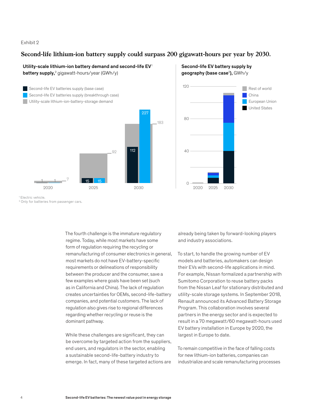#### Exhibit 2

# **Second-life lithium-ion battery supply could surpass 200 gigawatt-hours per year by 2030.**

### Utility-scale lithium-ion battery demand and second-life EV<sup>1</sup> battery supply,<sup>2</sup> gigawatt-hours/year (GWh/y)



# Second-life EV battery supply by **geography (base case<sup>2</sup>),** GWh/y



<sup>1</sup> Electric vehicle.

<sup>2</sup> Only for batteries from passenger cars.

The fourth challenge is the immature regulatory regime. Today, while most markets have some form of regulation requiring the recycling or remanufacturing of consumer electronics in general, most markets do not have EV-battery-specific requirements or delineations of responsibility between the producer and the consumer, save a few examples where goals have been set (such as in California and China). The lack of regulation creates uncertainties for OEMs, second-life-battery companies, and potential customers. The lack of regulation also gives rise to regional differences regarding whether recycling or reuse is the dominant pathway.

While these challenges are significant, they can be overcome by targeted action from the suppliers, end users, and regulators in the sector, enabling a sustainable second-life-battery industry to emerge. In fact, many of these targeted actions are

already being taken by forward-looking players and industry associations.

To start, to handle the growing number of EV models and batteries, automakers can design their EVs with second-life applications in mind. For example, Nissan formalized a partnership with Sumitomo Corporation to reuse battery packs from the Nissan Leaf for stationary distributed and utility-scale storage systems. In September 2018, Renault announced its Advanced Battery Storage Program. This collaboration involves several partners in the energy sector and is expected to result in a 70 megawatt/60 megawatt-hours used EV battery installation in Europe by 2020, the largest in Europe to date.

To remain competitive in the face of falling costs for new lithium-ion batteries, companies can industrialize and scale remanufacturing processes